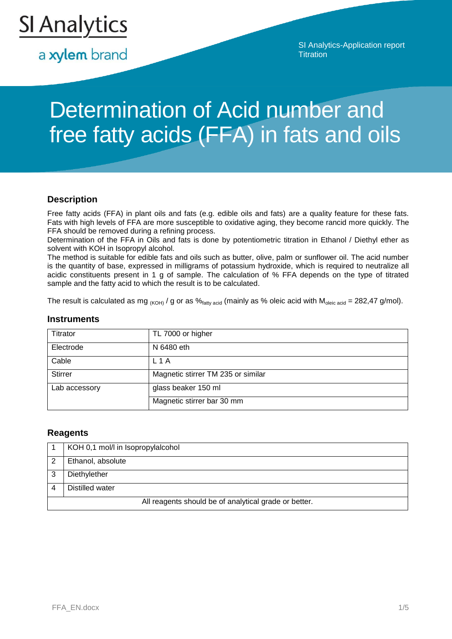

a xylem brand

SI Analytics-Application report **Titration** 

# Determination of Acid number and free fatty acids (FFA) in fats and oils

### **Description**

Free fatty acids (FFA) in plant oils and fats (e.g. edible oils and fats) are a quality feature for these fats. Fats with high levels of FFA are more susceptible to oxidative aging, they become rancid more quickly. The FFA should be removed during a refining process.

Determination of the FFA in Oils and fats is done by potentiometric titration in Ethanol / Diethyl ether as solvent with KOH in Isopropyl alcohol.

The method is suitable for edible fats and oils such as butter, olive, palm or sunflower oil. The acid number is the quantity of base, expressed in milligrams of potassium hydroxide, which is required to neutralize all acidic constituents present in 1 g of sample. The calculation of % FFA depends on the type of titrated sample and the fatty acid to which the result is to be calculated.

The result is calculated as mg  $_{(KOH)}$  / g or as  $\%_{fatty\ acid}$  (mainly as % oleic acid with  $M_{\text{oleic acid}} = 282,47$  g/mol).

#### **Instruments**

| Titrator       | TL 7000 or higher                  |
|----------------|------------------------------------|
| Electrode      | N 6480 eth                         |
| Cable          | L 1 A                              |
| <b>Stirrer</b> | Magnetic stirrer TM 235 or similar |
| Lab accessory  | glass beaker 150 ml                |
|                | Magnetic stirrer bar 30 mm         |

#### **Reagents**

|                                                       | KOH 0,1 mol/l in Isopropylalcohol |  |
|-------------------------------------------------------|-----------------------------------|--|
|                                                       | Ethanol, absolute                 |  |
|                                                       | Diethylether                      |  |
|                                                       | Distilled water                   |  |
| All reagents should be of analytical grade or better. |                                   |  |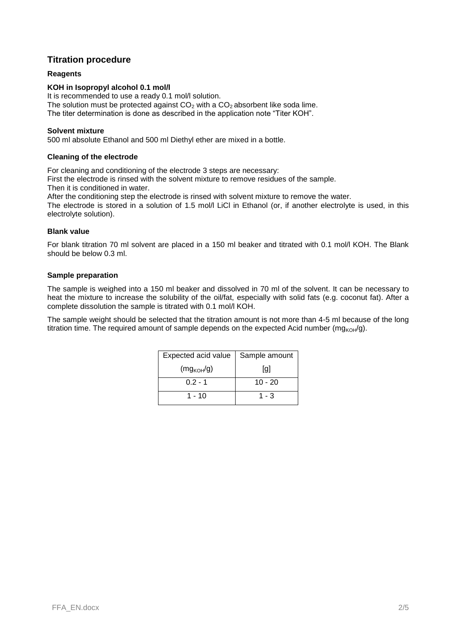# **Titration procedure**

#### **Reagents**

#### **KOH in Isopropyl alcohol 0.1 mol/l**

It is recommended to use a ready 0.1 mol/l solution. The solution must be protected against  $CO<sub>2</sub>$  with a  $CO<sub>2</sub>$  absorbent like soda lime. The titer determination is done as described in the application note "Titer KOH".

#### **Solvent mixture**

500 ml absolute Ethanol and 500 ml Diethyl ether are mixed in a bottle.

#### **Cleaning of the electrode**

For cleaning and conditioning of the electrode 3 steps are necessary:

First the electrode is rinsed with the solvent mixture to remove residues of the sample.

Then it is conditioned in water.

After the conditioning step the electrode is rinsed with solvent mixture to remove the water.

The electrode is stored in a solution of 1.5 mol/l LiCl in Ethanol (or, if another electrolyte is used, in this electrolyte solution).

#### **Blank value**

For blank titration 70 ml solvent are placed in a 150 ml beaker and titrated with 0.1 mol/l KOH. The Blank should be below 0.3 ml.

#### **Sample preparation**

The sample is weighed into a 150 ml beaker and dissolved in 70 ml of the solvent. It can be necessary to heat the mixture to increase the solubility of the oil/fat, especially with solid fats (e.g. coconut fat). After a complete dissolution the sample is titrated with 0.1 mol/l KOH.

The sample weight should be selected that the titration amount is not more than 4-5 ml because of the long titration time. The required amount of sample depends on the expected Acid number ( $mg_{KOH}/g$ ).

| Expected acid value | Sample amount |
|---------------------|---------------|
| $(mg_{KOH}/g)$      | [g]           |
| $0.2 - 1$           | $10 - 20$     |
| 1 - 10              | $1 - 3$       |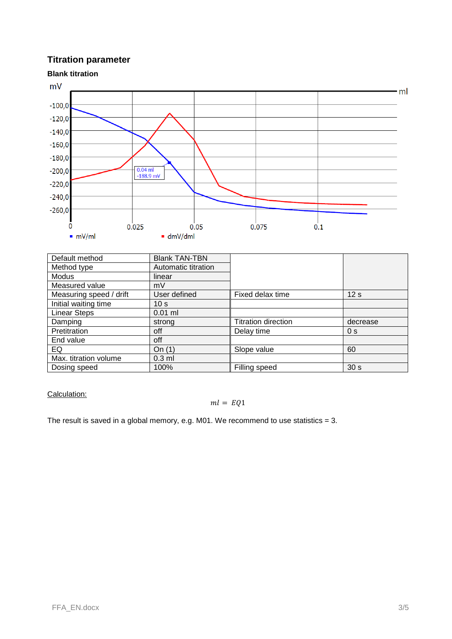# **Titration parameter**



| Default method          | <b>Blank TAN-TBN</b> |                            |                 |
|-------------------------|----------------------|----------------------------|-----------------|
| Method type             | Automatic titration  |                            |                 |
| Modus                   | linear               |                            |                 |
| Measured value          | mV                   |                            |                 |
| Measuring speed / drift | User defined         | Fixed delax time           | 12 <sub>s</sub> |
| Initial waiting time    | 10 <sub>s</sub>      |                            |                 |
| <b>Linear Steps</b>     | $0.01$ ml            |                            |                 |
| Damping                 | strona               | <b>Titration direction</b> | decrease        |
| Pretitration            | off                  | Delay time                 | 0 <sub>s</sub>  |
| End value               | off                  |                            |                 |
| EQ                      | On $(1)$             | Slope value                | 60              |
| Max. titration volume   | $0.3$ ml             |                            |                 |
| Dosing speed            | 100%                 | Filling speed              | 30 <sub>s</sub> |

#### Calculation:

#### $ml = EQ1$

The result is saved in a global memory, e.g. M01. We recommend to use statistics  $= 3$ .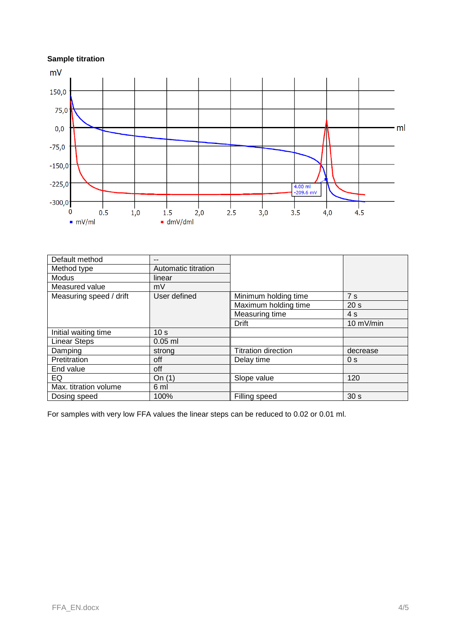# **Sample titration**



| Default method          | --                  |                            |                     |
|-------------------------|---------------------|----------------------------|---------------------|
| Method type             | Automatic titration |                            |                     |
| <b>Modus</b>            | linear              |                            |                     |
| Measured value          | mV                  |                            |                     |
| Measuring speed / drift | User defined        | Minimum holding time       | 7s                  |
|                         |                     | Maximum holding time       | 20 <sub>s</sub>     |
|                         |                     | Measuring time             | 4s                  |
|                         |                     | <b>Drift</b>               | $10 \text{ mV/min}$ |
| Initial waiting time    | 10 <sub>s</sub>     |                            |                     |
| <b>Linear Steps</b>     | $0.05$ ml           |                            |                     |
| Damping                 | strong              | <b>Titration direction</b> | decrease            |
| Pretitration            | off                 | Delay time                 | 0 <sub>s</sub>      |
| End value               | off                 |                            |                     |
| EQ                      | On $(1)$            | Slope value                | 120                 |
| Max. titration volume   | 6 ml                |                            |                     |
| Dosing speed            | 100%                | Filling speed              | 30 <sub>s</sub>     |

For samples with very low FFA values the linear steps can be reduced to 0.02 or 0.01 ml.